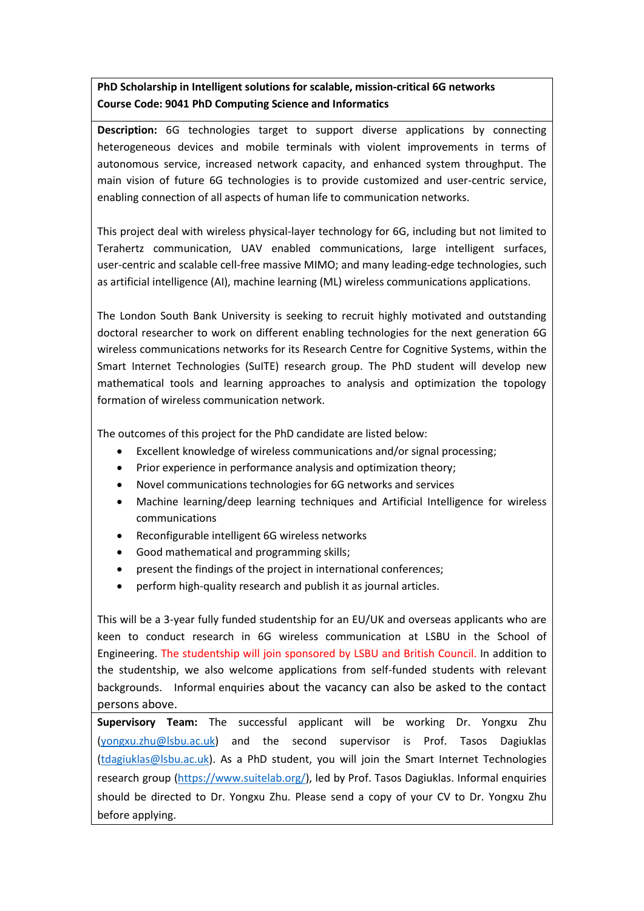## **PhD Scholarship in Intelligent solutions for scalable, mission-critical 6G networks Course Code: 9041 PhD Computing Science and Informatics**

**Description:** 6G technologies target to support diverse applications by connecting heterogeneous devices and mobile terminals with violent improvements in terms of autonomous service, increased network capacity, and enhanced system throughput. The main vision of future 6G technologies is to provide customized and user-centric service, enabling connection of all aspects of human life to communication networks.

This project deal with wireless physical-layer technology for 6G, including but not limited to Terahertz communication, UAV enabled communications, large intelligent surfaces, user-centric and scalable cell-free massive MIMO; and many leading-edge technologies, such as artificial intelligence (AI), machine learning (ML) wireless communications applications.

The London South Bank University is seeking to recruit highly motivated and outstanding doctoral researcher to work on different enabling technologies for the next generation 6G wireless communications networks for its Research Centre for Cognitive Systems, within the Smart Internet Technologies (SuITE) research group. The PhD student will develop new mathematical tools and learning approaches to analysis and optimization the topology formation of wireless communication network.

The outcomes of this project for the PhD candidate are listed below:

- Excellent knowledge of wireless communications and/or signal processing;
- Prior experience in performance analysis and optimization theory;
- Novel communications technologies for 6G networks and services
- Machine learning/deep learning techniques and Artificial Intelligence for wireless communications
- Reconfigurable intelligent 6G wireless networks
- Good mathematical and programming skills;
- present the findings of the project in international conferences;
- perform high-quality research and publish it as journal articles.

This will be a 3-year fully funded studentship for an EU/UK and overseas applicants who are keen to conduct research in 6G wireless communication at LSBU in the School of Engineering. The studentship will join sponsored by LSBU and British Council. In addition to the studentship, we also welcome applications from self-funded students with relevant backgrounds. Informal enquiries about the vacancy can also be asked to the contact persons above.

**Supervisory Team:** The successful applicant will be working Dr. Yongxu Zhu (yongxu.zhu@lsbu.ac.uk) and the second supervisor is Prof. Tasos Dagiuklas (tdagiuklas@lsbu.ac.uk). As a PhD student, you will join the Smart Internet Technologies research group [\(https://www.suitelab.org/\)](https://www.suitelab.org/), led by Prof. Tasos Dagiuklas. Informal enquiries should be directed to Dr. Yongxu Zhu. Please send a copy of your CV to Dr. Yongxu Zhu before applying.